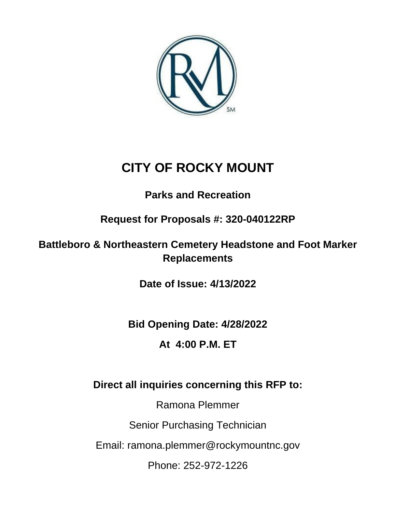

# **CITY OF ROCKY MOUNT**

## **Parks and Recreation**

**Request for Proposals #: 320-040122RP**

### **Battleboro & Northeastern Cemetery Headstone and Foot Marker Replacements**

**Date of Issue: 4/13/2022**

**Bid Opening Date: 4/28/2022**

## **At 4:00 P.M. ET**

## **Direct all inquiries concerning this RFP to:**

Ramona Plemmer Senior Purchasing Technician Email: ramona.plemmer@rockymountnc.gov Phone: 252-972-1226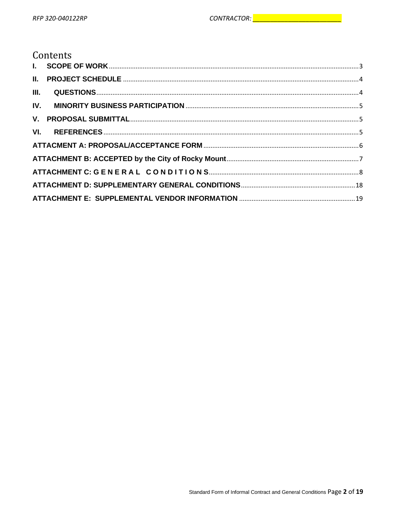### Contents

| III. |  |
|------|--|
|      |  |
|      |  |
|      |  |
|      |  |
|      |  |
|      |  |
|      |  |
|      |  |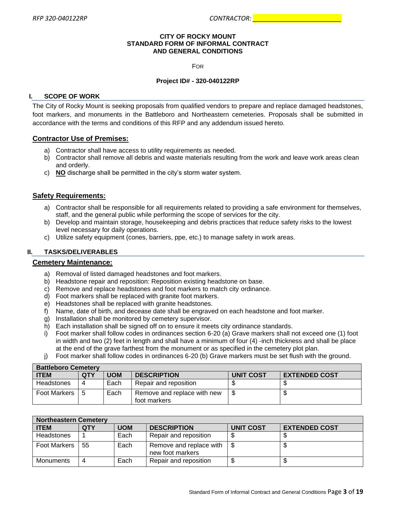#### **CITY OF ROCKY MOUNT STANDARD FORM OF INFORMAL CONTRACT AND GENERAL CONDITIONS**

FOR

#### **Project ID# - 320-040122RP**

#### <span id="page-2-0"></span>**I. SCOPE OF WORK**

The City of Rocky Mount is seeking proposals from qualified vendors to prepare and replace damaged headstones, foot markers, and monuments in the Battleboro and Northeastern cemeteries. Proposals shall be submitted in accordance with the terms and conditions of this RFP and any addendum issued hereto.

#### **Contractor Use of Premises:**

- a) Contractor shall have access to utility requirements as needed.
- b) Contractor shall remove all debris and waste materials resulting from the work and leave work areas clean and orderly.
- c) **NO** discharge shall be permitted in the city's storm water system.

#### **Safety Requirements:**

- a) Contractor shall be responsible for all requirements related to providing a safe environment for themselves, staff, and the general public while performing the scope of services for the city.
- b) Develop and maintain storage, housekeeping and debris practices that reduce safety risks to the lowest level necessary for daily operations.
- c) Utilize safety equipment (cones, barriers, ppe, etc.) to manage safety in work areas.

#### **II. TASKS/DELIVERABLES**

#### **Cemetery Maintenance:**

- a) Removal of listed damaged headstones and foot markers.
- b) Headstone repair and reposition: Reposition existing headstone on base.
- c) Remove and replace headstones and foot markers to match city ordinance.
- d) Foot markers shall be replaced with granite foot markers.
- e) Headstones shall be replaced with granite headstones.
- f) Name, date of birth, and decease date shall be engraved on each headstone and foot marker.
- g) Installation shall be monitored by cemetery supervisor.
- h) Each installation shall be signed off on to ensure it meets city ordinance standards.
- i) Foot marker shall follow codes in ordinances section 6-20 (a) Grave markers shall not exceed one (1) foot in width and two (2) feet in length and shall have a minimum of four (4) -inch thickness and shall be place at the end of the grave farthest from the monument or as specified in the cemetery plot plan.
- j) Foot marker shall follow codes in ordinances 6-20 (b) Grave markers must be set flush with the ground.

| <b>Battleboro Cemetery</b> |     |            |                                             |                  |                      |
|----------------------------|-----|------------|---------------------------------------------|------------------|----------------------|
| l ITEM.                    | QTY | <b>UOM</b> | <b>DESCRIPTION</b>                          | <b>UNIT COST</b> | <b>EXTENDED COST</b> |
| Headstones                 |     | Each       | Repair and reposition                       |                  |                      |
| Foot Markers               | 5   | Each       | Remove and replace with new<br>foot markers |                  |                      |

| <b>Northeastern Cemetery</b> |     |            |                                             |                  |                      |
|------------------------------|-----|------------|---------------------------------------------|------------------|----------------------|
| <b>ITEM</b>                  | QTY | <b>UOM</b> | <b>DESCRIPTION</b>                          | <b>UNIT COST</b> | <b>EXTENDED COST</b> |
| <b>Headstones</b>            |     | Each       | Repair and reposition                       |                  |                      |
| Foot Markers                 | 55  | Each       | Remove and replace with<br>new foot markers |                  |                      |
| Monuments                    |     | Each       | Repair and reposition                       |                  |                      |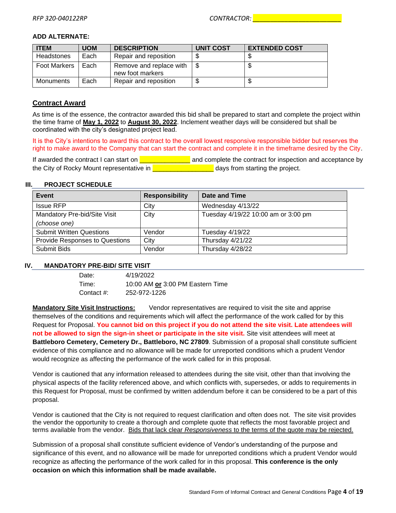#### **ADD ALTERNATE:**

| <b>ITEM</b>         | <b>UOM</b> | <b>DESCRIPTION</b>                          | <b>UNIT COST</b> | <b>EXTENDED COST</b> |
|---------------------|------------|---------------------------------------------|------------------|----------------------|
| Headstones          | Each       | Repair and reposition                       |                  |                      |
| <b>Foot Markers</b> | Each       | Remove and replace with<br>new foot markers |                  |                      |
| Monuments           | Each       | Repair and reposition                       |                  |                      |

#### **Contract Award**

As time is of the essence, the contractor awarded this bid shall be prepared to start and complete the project within the time frame of **May 1, 2022** to **August 30, 2022**. Inclement weather days will be considered but shall be coordinated with the city's designated project lead.

It is the City's intentions to award this contract to the overall lowest responsive responsible bidder but reserves the right to make award to the Company that can start the contract and complete it in the timeframe desired by the City.

If awarded the contract I can start on  $\frac{2}{\sqrt{2}}$  and complete the contract for inspection and acceptance by the City of Rocky Mount representative in **Example 20** days from starting the project.

#### <span id="page-3-0"></span>**III. PROJECT SCHEDULE**

| Event                                 | <b>Responsibility</b> | Date and Time                       |
|---------------------------------------|-----------------------|-------------------------------------|
| <b>Issue RFP</b>                      | City                  | Wednesday 4/13/22                   |
| Mandatory Pre-bid/Site Visit          | City                  | Tuesday 4/19/22 10:00 am or 3:00 pm |
| (choose one)                          |                       |                                     |
| <b>Submit Written Questions</b>       | Vendor                | Tuesday 4/19/22                     |
| <b>Provide Responses to Questions</b> | City                  | Thursday 4/21/22                    |
| Submit Bids                           | Vendor                | Thursday 4/28/22                    |

#### <span id="page-3-1"></span>**IV. MANDATORY PRE-BID/ SITE VISIT**

| Date:      | 4/19/2022                        |
|------------|----------------------------------|
| Time:      | 10:00 AM or 3:00 PM Eastern Time |
| Contact #: | 252-972-1226                     |

**Mandatory Site Visit Instructions:** Vendor representatives are required to visit the site and apprise themselves of the conditions and requirements which will affect the performance of the work called for by this Request for Proposal. **You cannot bid on this project if you do not attend the site visit. Late attendees will not be allowed to sign the sign-in sheet or participate in the site visit.** Site visit attendees will meet at **Battleboro Cemetery, Cemetery Dr., Battleboro, NC 27809**. Submission of a proposal shall constitute sufficient evidence of this compliance and no allowance will be made for unreported conditions which a prudent Vendor would recognize as affecting the performance of the work called for in this proposal.

Vendor is cautioned that any information released to attendees during the site visit, other than that involving the physical aspects of the facility referenced above, and which conflicts with, supersedes, or adds to requirements in this Request for Proposal, must be confirmed by written addendum before it can be considered to be a part of this proposal.

Vendor is cautioned that the City is not required to request clarification and often does not. The site visit provides the vendor the opportunity to create a thorough and complete quote that reflects the most favorable project and terms available from the vendor. Bids that lack clear *Responsiveness* to the terms of the quote may be rejected.

Submission of a proposal shall constitute sufficient evidence of Vendor's understanding of the purpose and significance of this event, and no allowance will be made for unreported conditions which a prudent Vendor would recognize as affecting the performance of the work called for in this proposal. **This conference is the only occasion on which this information shall be made available.**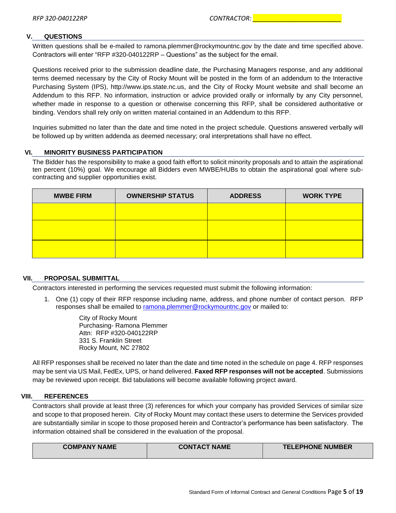#### **V. QUESTIONS**

Written questions shall be e-mailed to ramona.plemmer@rockymountnc.gov by the date and time specified above. Contractors will enter "RFP #320-040122RP – Questions" as the subject for the email.

Questions received prior to the submission deadline date, the Purchasing Managers response, and any additional terms deemed necessary by the City of Rocky Mount will be posted in the form of an addendum to the Interactive Purchasing System (IPS), http://www.ips.state.nc.us, and the City of Rocky Mount website and shall become an Addendum to this RFP. No information, instruction or advice provided orally or informally by any City personnel, whether made in response to a question or otherwise concerning this RFP, shall be considered authoritative or binding. Vendors shall rely only on written material contained in an Addendum to this RFP.

Inquiries submitted no later than the date and time noted in the project schedule. Questions answered verbally will be followed up by written addenda as deemed necessary; oral interpretations shall have no effect.

#### <span id="page-4-0"></span>**VI. MINORITY BUSINESS PARTICIPATION**

The Bidder has the responsibility to make a good faith effort to solicit minority proposals and to attain the aspirational ten percent (10%) goal. We encourage all Bidders even MWBE/HUBs to obtain the aspirational goal where subcontracting and supplier opportunities exist.

| <b>MWBE FIRM</b> | <b>OWNERSHIP STATUS</b> | <b>ADDRESS</b> | <b>WORK TYPE</b> |
|------------------|-------------------------|----------------|------------------|
|                  |                         |                |                  |
|                  |                         |                |                  |
|                  |                         |                |                  |
|                  |                         |                |                  |

#### <span id="page-4-1"></span>**VII. PROPOSAL SUBMITTAL**

Contractors interested in performing the services requested must submit the following information:

1. One (1) copy of their RFP response including name, address, and phone number of contact person. RFP responses shall be emailed to [ramona.plemmer@rockymountnc.gov](mailto:ramona.plemmer@rockymountnc.gov) or mailed to:

> City of Rocky Mount Purchasing- Ramona Plemmer Attn: RFP #320-040122RP 331 S. Franklin Street Rocky Mount, NC 27802

All RFP responses shall be received no later than the date and time noted in the schedule on page 4. RFP responses may be sent via US Mail, FedEx, UPS, or hand delivered. **Faxed RFP responses will not be accepted**. Submissions may be reviewed upon receipt. Bid tabulations will become available following project award.

#### <span id="page-4-2"></span>**VIII. REFERENCES**

Contractors shall provide at least three (3) references for which your company has provided Services of similar size and scope to that proposed herein. City of Rocky Mount may contact these users to determine the Services provided are substantially similar in scope to those proposed herein and Contractor's performance has been satisfactory. The information obtained shall be considered in the evaluation of the proposal.

| <b>COMPANY NAME</b> | <b>CONTACT NAME</b> | <b>TELEPHONE NUMBER</b> |
|---------------------|---------------------|-------------------------|
|                     |                     |                         |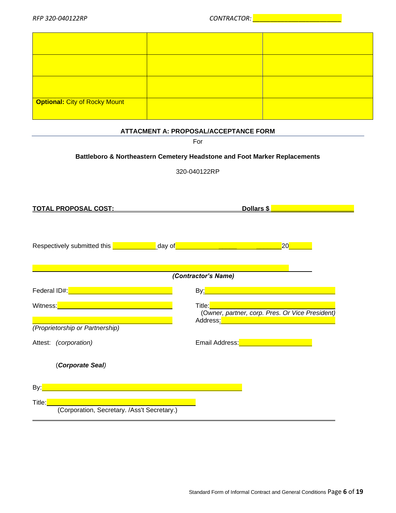| Optional: City of Rocky Mount |  |
|-------------------------------|--|

#### **ATTACMENT A: PROPOSAL/ACCEPTANCE FORM**

<span id="page-5-0"></span>

|                                                                                                                                                                                                                                      | For                                                                                                                                                                                                          |  |  |
|--------------------------------------------------------------------------------------------------------------------------------------------------------------------------------------------------------------------------------------|--------------------------------------------------------------------------------------------------------------------------------------------------------------------------------------------------------------|--|--|
| Battleboro & Northeastern Cemetery Headstone and Foot Marker Replacements                                                                                                                                                            |                                                                                                                                                                                                              |  |  |
|                                                                                                                                                                                                                                      | 320-040122RP                                                                                                                                                                                                 |  |  |
|                                                                                                                                                                                                                                      |                                                                                                                                                                                                              |  |  |
|                                                                                                                                                                                                                                      |                                                                                                                                                                                                              |  |  |
|                                                                                                                                                                                                                                      | Dollars \$                                                                                                                                                                                                   |  |  |
| Respectively submitted this <b>contact the set of the set of the set of the set of the set of the set of the set o</b>                                                                                                               | $ 20 $ . The set of $\sim$                                                                                                                                                                                   |  |  |
|                                                                                                                                                                                                                                      | (Contractor's Name)                                                                                                                                                                                          |  |  |
| Federal ID#: <u>Management and the set of the set of the set of the set of the set of the set of the set of the set of the set of the set of the set of the set of the set of the set of the set of the set of the set of the se</u> |                                                                                                                                                                                                              |  |  |
| Witness: <b>Witness:</b> Witness: <b>Witness:</b> Witness: 2004<br>(Proprietorship or Partnership)                                                                                                                                   | Title: <b>The State State State State</b><br>(Owner, partner, corp. Pres. Or Vice President)<br>Address <u>: Address: Address: Address: Address: Address: Address: Address: Address: Address: Address: A</u> |  |  |
| Attest: (corporation)                                                                                                                                                                                                                | Email Address: <b>Exercise Address: Exercise Address: Exercise Address:</b>                                                                                                                                  |  |  |
| (Corporate Seal)                                                                                                                                                                                                                     |                                                                                                                                                                                                              |  |  |
|                                                                                                                                                                                                                                      |                                                                                                                                                                                                              |  |  |
| Title:                                                                                                                                                                                                                               |                                                                                                                                                                                                              |  |  |
| (Corporation, Secretary. /Ass't Secretary.)                                                                                                                                                                                          |                                                                                                                                                                                                              |  |  |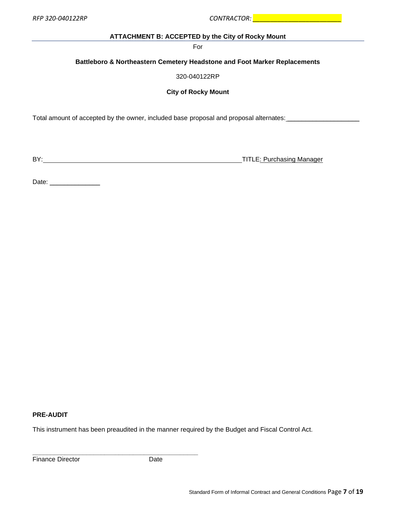<span id="page-6-0"></span>*RFP 320-040122RP CONTRACTOR: \_\_\_\_\_\_\_\_\_\_\_\_\_\_\_\_\_\_\_\_\_\_\_\_\_*

#### **ATTACHMENT B: ACCEPTED by the City of Rocky Mount**

For

#### **Battleboro & Northeastern Cemetery Headstone and Foot Marker Replacements**

320-040122RP

#### **City of Rocky Mount**

Total amount of accepted by the owner, included base proposal and proposal alternates: \_\_\_\_\_\_\_\_\_\_\_\_\_\_\_\_\_\_\_\_\_\_\_

BY: TITLE: Purchasing Manager

Date: \_\_\_\_\_\_\_\_\_\_\_\_\_\_

#### **PRE-AUDIT**

This instrument has been preaudited in the manner required by the Budget and Fiscal Control Act.

Finance Director **Date** 

**\_\_\_\_\_\_\_\_\_\_\_\_\_\_\_\_\_\_\_\_\_\_\_\_\_\_\_\_\_\_\_\_\_\_\_\_\_\_\_\_\_\_\_\_\_\_**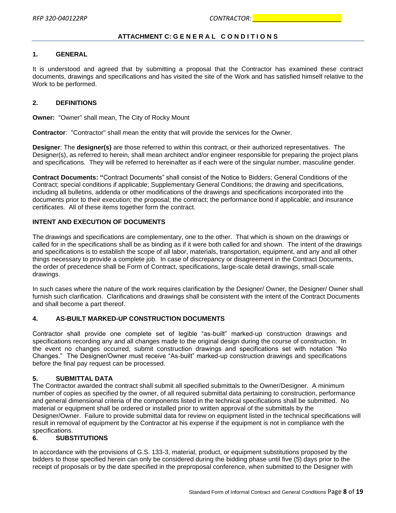#### **ATTACHMENT C: G E N E R A L C O N D I T I O N S**

#### <span id="page-7-0"></span>**1. GENERAL**

It is understood and agreed that by submitting a proposal that the Contractor has examined these contract documents, drawings and specifications and has visited the site of the Work and has satisfied himself relative to the Work to be performed.

#### **2. DEFINITIONS**

**Owner:** "Owner" shall mean, The City of Rocky Mount

**Contractor**: "Contractor" shall mean the entity that will provide the services for the Owner.

**Designer**: The **designer(s)** are those referred to within this contract, or their authorized representatives. The Designer(s), as referred to herein, shall mean architect and/or engineer responsible for preparing the project plans and specifications. They will be referred to hereinafter as if each were of the singular number, masculine gender.

**Contract Documents: "**Contract Documents" shall consist of the Notice to Bidders; General Conditions of the Contract; special conditions if applicable; Supplementary General Conditions; the drawing and specifications, including all bulletins, addenda or other modifications of the drawings and specifications incorporated into the documents prior to their execution; the proposal; the contract; the performance bond if applicable; and insurance certificates. All of these items together form the contract.

#### **INTENT AND EXECUTION OF DOCUMENTS**

The drawings and specifications are complementary, one to the other. That which is shown on the drawings or called for in the specifications shall be as binding as if it were both called for and shown. The intent of the drawings and specifications is to establish the scope of all labor, materials, transportation, equipment, and any and all other things necessary to provide a complete job. In case of discrepancy or disagreement in the Contract Documents, the order of precedence shall be Form of Contract, specifications, large-scale detail drawings, small-scale drawings.

In such cases where the nature of the work requires clarification by the Designer/ Owner, the Designer/ Owner shall furnish such clarification. Clarifications and drawings shall be consistent with the intent of the Contract Documents and shall become a part thereof.

#### **4. AS-BUILT MARKED-UP CONSTRUCTION DOCUMENTS**

Contractor shall provide one complete set of legible "as-built" marked-up construction drawings and specifications recording any and all changes made to the original design during the course of construction. In the event no changes occurred, submit construction drawings and specifications set with notation "No Changes." The Designer/Owner must receive "As-built" marked-up construction drawings and specifications before the final pay request can be processed.

#### **5. SUBMITTAL DATA**

The Contractor awarded the contract shall submit all specified submittals to the Owner/Designer. A minimum number of copies as specified by the owner, of all required submittal data pertaining to construction, performance and general dimensional criteria of the components listed in the technical specifications shall be submitted. No material or equipment shall be ordered or installed prior to written approval of the submittals by the Designer/Owner. Failure to provide submittal data for review on equipment listed in the technical specifications will result in removal of equipment by the Contractor at his expense if the equipment is not in compliance with the specifications.

#### **6. SUBSTITUTIONS**

In accordance with the provisions of G.S. 133-3, material, product, or equipment substitutions proposed by the bidders to those specified herein can only be considered during the bidding phase until five (5) days prior to the receipt of proposals or by the date specified in the preproposal conference, when submitted to the Designer with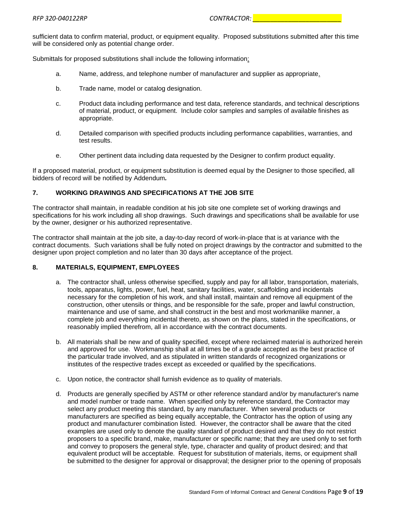sufficient data to confirm material, product, or equipment equality. Proposed substitutions submitted after this time will be considered only as potential change order.

Submittals for proposed substitutions shall include the following information:

- a. Name, address, and telephone number of manufacturer and supplier as appropriate.
- b. Trade name, model or catalog designation.
- c. Product data including performance and test data, reference standards, and technical descriptions of material, product, or equipment. Include color samples and samples of available finishes as appropriate.
- d. Detailed comparison with specified products including performance capabilities, warranties, and test results.
- e. Other pertinent data including data requested by the Designer to confirm product equality.

If a proposed material, product, or equipment substitution is deemed equal by the Designer to those specified, all bidders of record will be notified by Addendum*.*

#### **7. WORKING DRAWINGS AND SPECIFICATIONS AT THE JOB SITE**

The contractor shall maintain, in readable condition at his job site one complete set of working drawings and specifications for his work including all shop drawings. Such drawings and specifications shall be available for use by the owner, designer or his authorized representative.

The contractor shall maintain at the job site, a day-to-day record of work-in-place that is at variance with the contract documents. Such variations shall be fully noted on project drawings by the contractor and submitted to the designer upon project completion and no later than 30 days after acceptance of the project.

#### **8. MATERIALS, EQUIPMENT, EMPLOYEES**

- a. The contractor shall, unless otherwise specified, supply and pay for all labor, transportation, materials, tools, apparatus, lights, power, fuel, heat, sanitary facilities, water, scaffolding and incidentals necessary for the completion of his work, and shall install, maintain and remove all equipment of the construction, other utensils or things, and be responsible for the safe, proper and lawful construction, maintenance and use of same, and shall construct in the best and most workmanlike manner, a complete job and everything incidental thereto, as shown on the plans, stated in the specifications, or reasonably implied therefrom, all in accordance with the contract documents.
- b. All materials shall be new and of quality specified, except where reclaimed material is authorized herein and approved for use. Workmanship shall at all times be of a grade accepted as the best practice of the particular trade involved, and as stipulated in written standards of recognized organizations or institutes of the respective trades except as exceeded or qualified by the specifications.
- c. Upon notice, the contractor shall furnish evidence as to quality of materials.
- d. Products are generally specified by ASTM or other reference standard and/or by manufacturer's name and model number or trade name. When specified only by reference standard, the Contractor may select any product meeting this standard, by any manufacturer. When several products or manufacturers are specified as being equally acceptable, the Contractor has the option of using any product and manufacturer combination listed. However, the contractor shall be aware that the cited examples are used only to denote the quality standard of product desired and that they do not restrict proposers to a specific brand, make, manufacturer or specific name; that they are used only to set forth and convey to proposers the general style, type, character and quality of product desired; and that equivalent product will be acceptable. Request for substitution of materials, items, or equipment shall be submitted to the designer for approval or disapproval; the designer prior to the opening of proposals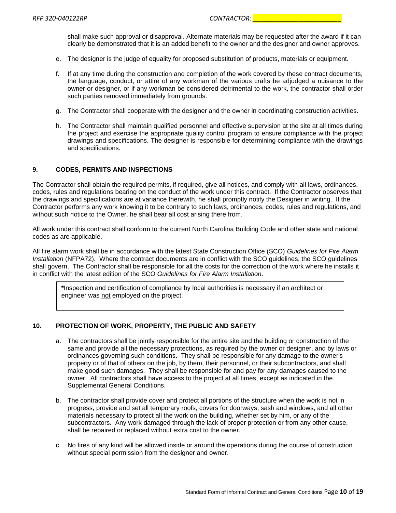shall make such approval or disapproval. Alternate materials may be requested after the award if it can clearly be demonstrated that it is an added benefit to the owner and the designer and owner approves.

- e. The designer is the judge of equality for proposed substitution of products, materials or equipment.
- f. If at any time during the construction and completion of the work covered by these contract documents, the language, conduct, or attire of any workman of the various crafts be adjudged a nuisance to the owner or designer, or if any workman be considered detrimental to the work, the contractor shall order such parties removed immediately from grounds.
- g. The Contractor shall cooperate with the designer and the owner in coordinating construction activities.
- h. The Contractor shall maintain qualified personnel and effective supervision at the site at all times during the project and exercise the appropriate quality control program to ensure compliance with the project drawings and specifications. The designer is responsible for determining compliance with the drawings and specifications.

#### **9. CODES, PERMITS AND INSPECTIONS**

The Contractor shall obtain the required permits, if required, give all notices, and comply with all laws, ordinances, codes, rules and regulations bearing on the conduct of the work under this contract. If the Contractor observes that the drawings and specifications are at variance therewith, he shall promptly notify the Designer in writing. If the Contractor performs any work knowing it to be contrary to such laws, ordinances, codes, rules and regulations, and without such notice to the Owner, he shall bear all cost arising there from.

All work under this contract shall conform to the current North Carolina Building Code and other state and national codes as are applicable.

All fire alarm work shall be in accordance with the latest State Construction Office (SCO) *Guidelines for Fire Alarm Installation* (NFPA72). Where the contract documents are in conflict with the SCO guidelines, the SCO guidelines shall govern. The Contractor shall be responsible for all the costs for the correction of the work where he installs it in conflict with the latest edition of the SCO *Guidelines for Fire Alarm Installation*.

**\***Inspection and certification of compliance by local authorities is necessary if an architect or engineer was not employed on the project.

#### **10. PROTECTION OF WORK, PROPERTY, THE PUBLIC AND SAFETY**

- a. The contractors shall be jointly responsible for the entire site and the building or construction of the same and provide all the necessary protections, as required by the owner or designer, and by laws or ordinances governing such conditions. They shall be responsible for any damage to the owner's property or of that of others on the job, by them, their personnel, or their subcontractors, and shall make good such damages. They shall be responsible for and pay for any damages caused to the owner. All contractors shall have access to the project at all times, except as indicated in the Supplemental General Conditions.
- b. The contractor shall provide cover and protect all portions of the structure when the work is not in progress, provide and set all temporary roofs, covers for doorways, sash and windows, and all other materials necessary to protect all the work on the building, whether set by him, or any of the subcontractors. Any work damaged through the lack of proper protection or from any other cause, shall be repaired or replaced without extra cost to the owner.
- c. No fires of any kind will be allowed inside or around the operations during the course of construction without special permission from the designer and owner.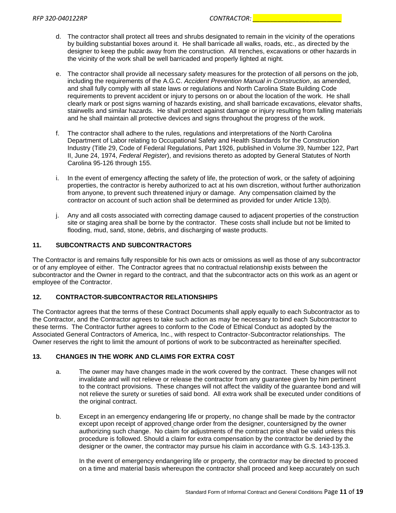- d. The contractor shall protect all trees and shrubs designated to remain in the vicinity of the operations by building substantial boxes around it. He shall barricade all walks, roads, etc., as directed by the designer to keep the public away from the construction. All trenches, excavations or other hazards in the vicinity of the work shall be well barricaded and properly lighted at night.
- e. The contractor shall provide all necessary safety measures for the protection of all persons on the job, including the requirements of the A.G.C. *Accident Prevention Manual in Construction*, as amended, and shall fully comply with all state laws or regulations and North Carolina State Building Code requirements to prevent accident or injury to persons on or about the location of the work. He shall clearly mark or post signs warning of hazards existing, and shall barricade excavations, elevator shafts, stairwells and similar hazards. He shall protect against damage or injury resulting from falling materials and he shall maintain all protective devices and signs throughout the progress of the work.
- f. The contractor shall adhere to the rules, regulations and interpretations of the North Carolina Department of Labor relating to Occupational Safety and Health Standards for the Construction Industry (Title 29, Code of Federal Regulations, Part 1926, published in Volume 39, Number 122, Part II, June 24, 1974, *Federal Register*), and revisions thereto as adopted by General Statutes of North Carolina 95-126 through 155.
- i. In the event of emergency affecting the safety of life, the protection of work, or the safety of adjoining properties, the contractor is hereby authorized to act at his own discretion, without further authorization from anyone, to prevent such threatened injury or damage. Any compensation claimed by the contractor on account of such action shall be determined as provided for under Article 13(b).
- j. Any and all costs associated with correcting damage caused to adjacent properties of the construction site or staging area shall be borne by the contractor. These costs shall include but not be limited to flooding, mud, sand, stone, debris, and discharging of waste products.

#### **11. SUBCONTRACTS AND SUBCONTRACTORS**

The Contractor is and remains fully responsible for his own acts or omissions as well as those of any subcontractor or of any employee of either. The Contractor agrees that no contractual relationship exists between the subcontractor and the Owner in regard to the contract, and that the subcontractor acts on this work as an agent or employee of the Contractor.

#### **12. CONTRACTOR-SUBCONTRACTOR RELATIONSHIPS**

The Contractor agrees that the terms of these Contract Documents shall apply equally to each Subcontractor as to the Contractor, and the Contractor agrees to take such action as may be necessary to bind each Subcontractor to these terms. The Contractor further agrees to conform to the Code of Ethical Conduct as adopted by the Associated General Contractors of America, Inc., with respect to Contractor-Subcontractor relationships. The Owner reserves the right to limit the amount of portions of work to be subcontracted as hereinafter specified.

#### **13. CHANGES IN THE WORK AND CLAIMS FOR EXTRA COST**

- a. The owner may have changes made in the work covered by the contract. These changes will not invalidate and will not relieve or release the contractor from any guarantee given by him pertinent to the contract provisions. These changes will not affect the validity of the guarantee bond and will not relieve the surety or sureties of said bond. All extra work shall be executed under conditions of the original contract.
- b. Except in an emergency endangering life or property, no change shall be made by the contractor except upon receipt of approved change order from the designer, countersigned by the owner authorizing such change. No claim for adjustments of the contract price shall be valid unless this procedure is followed. Should a claim for extra compensation by the contractor be denied by the designer or the owner, the contractor may pursue his claim in accordance with G.S. 143-135.3.

In the event of emergency endangering life or property, the contractor may be directed to proceed on a time and material basis whereupon the contractor shall proceed and keep accurately on such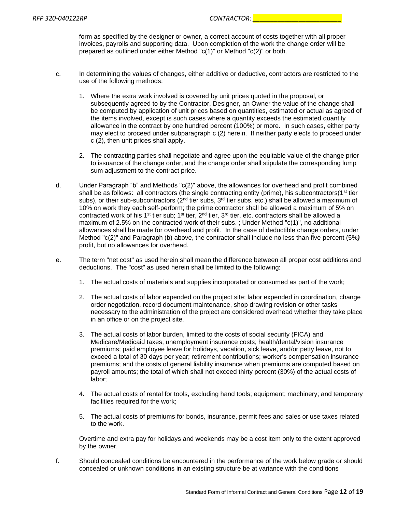form as specified by the designer or owner, a correct account of costs together with all proper invoices, payrolls and supporting data. Upon completion of the work the change order will be prepared as outlined under either Method "c(1)" or Method "c(2)" or both.

- c. In determining the values of changes, either additive or deductive, contractors are restricted to the use of the following methods:
	- 1. Where the extra work involved is covered by unit prices quoted in the proposal, or subsequently agreed to by the Contractor, Designer, an Owner the value of the change shall be computed by application of unit prices based on quantities, estimated or actual as agreed of the items involved, except is such cases where a quantity exceeds the estimated quantity allowance in the contract by one hundred percent (100%) or more. In such cases, either party may elect to proceed under subparagraph c (2) herein. If neither party elects to proceed under c (2), then unit prices shall apply.
	- 2. The contracting parties shall negotiate and agree upon the equitable value of the change prior to issuance of the change order, and the change order shall stipulate the corresponding lump sum adjustment to the contract price.
- d. Under Paragraph "b" and Methods "c(2)" above, the allowances for overhead and profit combined shall be as follows: all contractors (the single contracting entity (prime), his subcontractors( $1<sup>st</sup>$  tier subs), or their sub-subcontractors ( $2<sup>nd</sup>$  tier subs,  $3<sup>rd</sup>$  tier subs, etc.) shall be allowed a maximum of 10% on work they each self-perform; the prime contractor shall be allowed a maximum of 5% on contracted work of his 1<sup>st</sup> tier sub; 1<sup>st</sup> tier,  $2<sup>nd</sup>$  tier, 3<sup>rd</sup> tier, etc. contractors shall be allowed a maximum of 2.5% on the contracted work of their subs. ; Under Method "c(1)", no additional allowances shall be made for overhead and profit. In the case of deductible change orders, under Method "c(2)" and Paragraph (b) above, the contractor shall include no less than five percent (5%*)*  profit, but no allowances for overhead.
- e. The term "net cost" as used herein shall mean the difference between all proper cost additions and deductions. The "cost" as used herein shall be limited to the following:
	- 1. The actual costs of materials and supplies incorporated or consumed as part of the work;
	- 2. The actual costs of labor expended on the project site; labor expended in coordination, change order negotiation, record document maintenance, shop drawing revision or other tasks necessary to the administration of the project are considered overhead whether they take place in an office or on the project site.
	- 3. The actual costs of labor burden, limited to the costs of social security (FICA) and Medicare/Medicaid taxes; unemployment insurance costs; health/dental/vision insurance premiums; paid employee leave for holidays, vacation, sick leave, and/or petty leave, not to exceed a total of 30 days per year; retirement contributions; worker's compensation insurance premiums; and the costs of general liability insurance when premiums are computed based on payroll amounts; the total of which shall not exceed thirty percent (30%) of the actual costs of labor;
	- 4. The actual costs of rental for tools, excluding hand tools; equipment; machinery; and temporary facilities required for the work;
	- 5. The actual costs of premiums for bonds, insurance, permit fees and sales or use taxes related to the work.

Overtime and extra pay for holidays and weekends may be a cost item only to the extent approved by the owner.

f. Should concealed conditions be encountered in the performance of the work below grade or should concealed or unknown conditions in an existing structure be at variance with the conditions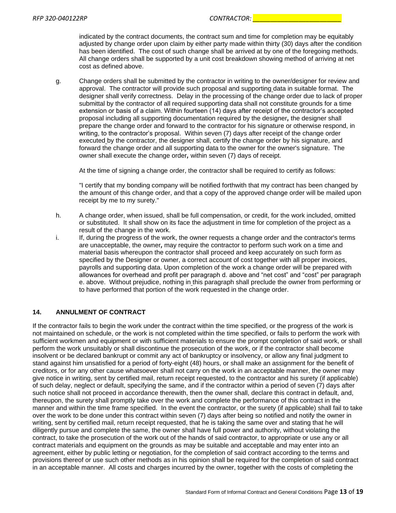indicated by the contract documents, the contract sum and time for completion may be equitably adjusted by change order upon claim by either party made within thirty (30) days after the condition has been identified. The cost of such change shall be arrived at by one of the foregoing methods. All change orders shall be supported by a unit cost breakdown showing method of arriving at net cost as defined above.

g. Change orders shall be submitted by the contractor in writing to the owner/designer for review and approval. The contractor will provide such proposal and supporting data in suitable format. The designer shall verify correctness. Delay in the processing of the change order due to lack of proper submittal by the contractor of all required supporting data shall not constitute grounds for a time extension or basis of a claim. Within fourteen (14) days after receipt of the contractor's accepted proposal including all supporting documentation required by the designer*,* the designer shall prepare the change order and forward to the contractor for his signature or otherwise respond, in writing, to the contractor's proposal. Within seven (7) days after receipt of the change order executed by the contractor, the designer shall, certify the change order by his signature, and forward the change order and all supporting data to the owner for the owner's signature. The owner shall execute the change order*,* within seven (7) days of receipt.

At the time of signing a change order, the contractor shall be required to certify as follows:

"I certify that my bonding company will be notified forthwith that my contract has been changed by the amount of this change order, and that a copy of the approved change order will be mailed upon receipt by me to my surety."

- h. A change order, when issued, shall be full compensation, or credit, for the work included, omitted or substituted. It shall show on its face the adjustment in time for completion of the project as a result of the change in the work.
- i. If, during the progress of the work, the owner requests a change order and the contractor's terms are unacceptable, the owner*,* may require the contractor to perform such work on a time and material basis whereupon the contractor shall proceed and keep accurately on such form as specified by the Designer or owner, a correct account of cost together with all proper invoices, payrolls and supporting data. Upon completion of the work a change order will be prepared with allowances for overhead and profit per paragraph d. above and "net cost" and "cost" per paragraph e. above. Without prejudice, nothing in this paragraph shall preclude the owner from performing or to have performed that portion of the work requested in the change order.

#### **14. ANNULMENT OF CONTRACT**

If the contractor fails to begin the work under the contract within the time specified, or the progress of the work is not maintained on schedule, or the work is not completed within the time specified, or fails to perform the work with sufficient workmen and equipment or with sufficient materials to ensure the prompt completion of said work, or shall perform the work unsuitably or shall discontinue the prosecution of the work, or if the contractor shall become insolvent or be declared bankrupt or commit any act of bankruptcy or insolvency, or allow any final judgment to stand against him unsatisfied for a period of forty-eight (48) hours, or shall make an assignment for the benefit of creditors, or for any other cause whatsoever shall not carry on the work in an acceptable manner, the owner may give notice in writing, sent by certified mail, return receipt requested, to the contractor and his surety (if applicable) of such delay, neglect or default, specifying the same, and if the contractor within a period of seven (7) days after such notice shall not proceed in accordance therewith, then the owner shall, declare this contract in default, and, thereupon, the surety shall promptly take over the work and complete the performance of this contract in the manner and within the time frame specified. In the event the contractor, or the surety (if applicable) shall fail to take over the work to be done under this contract within seven (7) days after being so notified and notify the owner in writing, sent by certified mail, return receipt requested, that he is taking the same over and stating that he will diligently pursue and complete the same, the owner shall have full power and authority, without violating the contract, to take the prosecution of the work out of the hands of said contractor, to appropriate or use any or all contract materials and equipment on the grounds as may be suitable and acceptable and may enter into an agreement, either by public letting or negotiation, for the completion of said contract according to the terms and provisions thereof or use such other methods as in his opinion shall be required for the completion of said contract in an acceptable manner. All costs and charges incurred by the owner, together with the costs of completing the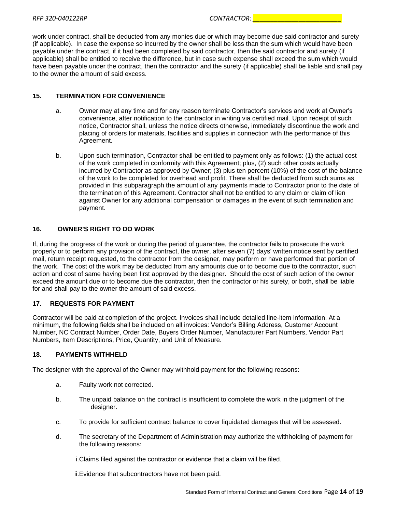work under contract, shall be deducted from any monies due or which may become due said contractor and surety (if applicable). In case the expense so incurred by the owner shall be less than the sum which would have been payable under the contract, if it had been completed by said contractor, then the said contractor and surety (if applicable) shall be entitled to receive the difference, but in case such expense shall exceed the sum which would have been payable under the contract, then the contractor and the surety (if applicable) shall be liable and shall pay to the owner the amount of said excess.

#### **15. TERMINATION FOR CONVENIENCE**

- a. Owner may at any time and for any reason terminate Contractor's services and work at Owner's convenience, after notification to the contractor in writing via certified mail. Upon receipt of such notice, Contractor shall, unless the notice directs otherwise, immediately discontinue the work and placing of orders for materials, facilities and supplies in connection with the performance of this Agreement.
- b. Upon such termination, Contractor shall be entitled to payment only as follows: (1) the actual cost of the work completed in conformity with this Agreement; plus, (2) such other costs actually incurred by Contractor as approved by Owner; (3) plus ten percent (10%) of the cost of the balance of the work to be completed for overhead and profit. There shall be deducted from such sums as provided in this subparagraph the amount of any payments made to Contractor prior to the date of the termination of this Agreement. Contractor shall not be entitled to any claim or claim of lien against Owner for any additional compensation or damages in the event of such termination and payment.

#### **16. OWNER'S RIGHT TO DO WORK**

If, during the progress of the work or during the period of guarantee, the contractor fails to prosecute the work properly or to perform any provision of the contract, the owner, after seven (7) days' written notice sent by certified mail, return receipt requested, to the contractor from the designer, may perform or have performed that portion of the work. The cost of the work may be deducted from any amounts due or to become due to the contractor, such action and cost of same having been first approved by the designer. Should the cost of such action of the owner exceed the amount due or to become due the contractor, then the contractor or his surety, or both, shall be liable for and shall pay to the owner the amount of said excess.

#### **17. REQUESTS FOR PAYMENT**

Contractor will be paid at completion of the project. Invoices shall include detailed line-item information. At a minimum, the following fields shall be included on all invoices: Vendor's Billing Address, Customer Account Number, NC Contract Number, Order Date, Buyers Order Number, Manufacturer Part Numbers, Vendor Part Numbers, Item Descriptions, Price, Quantity, and Unit of Measure.

#### **18. PAYMENTS WITHHELD**

The designer with the approval of the Owner may withhold payment for the following reasons:

- a. Faulty work not corrected.
- b. The unpaid balance on the contract is insufficient to complete the work in the judgment of the designer.
- c. To provide for sufficient contract balance to cover liquidated damages that will be assessed.
- d. The secretary of the Department of Administration may authorize the withholding of payment for the following reasons:

i.Claims filed against the contractor or evidence that a claim will be filed.

ii.Evidence that subcontractors have not been paid.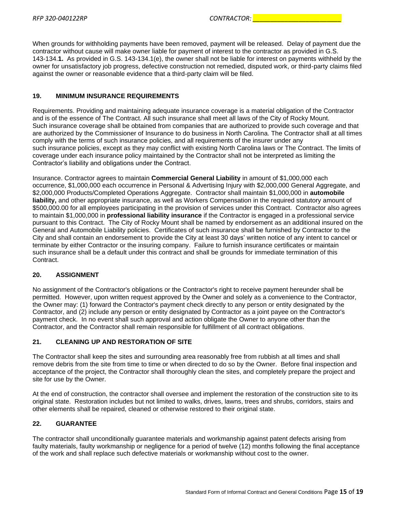When grounds for withholding payments have been removed, payment will be released. Delay of payment due the contractor without cause will make owner liable for payment of interest to the contractor as provided in G.S. 143-134.**1.** As provided in G.S. 143-134.1(e), the owner shall not be liable for interest on payments withheld by the owner for unsatisfactory job progress, defective construction not remedied, disputed work, or third-party claims filed against the owner or reasonable evidence that a third-party claim will be filed.

#### **19. MINIMUM INSURANCE REQUIREMENTS**

Requirements. Providing and maintaining adequate insurance coverage is a material obligation of the Contractor and is of the essence of The Contract. All such insurance shall meet all laws of the City of Rocky Mount. Such insurance coverage shall be obtained from companies that are authorized to provide such coverage and that are authorized by the Commissioner of Insurance to do business in North Carolina. The Contractor shall at all times comply with the terms of such insurance policies, and all requirements of the insurer under any such insurance policies, except as they may conflict with existing North Carolina laws or The Contract. The limits of coverage under each insurance policy maintained by the Contractor shall not be interpreted as limiting the Contractor's liability and obligations under the Contract.

Insurance. Contractor agrees to maintain **Commercial General Liability** in amount of \$1,000,000 each occurrence, \$1,000,000 each occurrence in Personal & Advertising Injury with \$2,000,000 General Aggregate, and \$2,000,000 Products/Completed Operations Aggregate. Contractor shall maintain \$1,000,000 in **automobile liability,** and other appropriate insurance, as well as Workers Compensation in the required statutory amount of \$500,000.00 for all employees participating in the provision of services under this Contract. Contractor also agrees to maintain \$1,000,000 in **professional liability insurance** if the Contractor is engaged in a professional service pursuant to this Contract. The City of Rocky Mount shall be named by endorsement as an additional insured on the General and Automobile Liability policies. Certificates of such insurance shall be furnished by Contractor to the City and shall contain an endorsement to provide the City at least 30 days' written notice of any intent to cancel or terminate by either Contractor or the insuring company. Failure to furnish insurance certificates or maintain such insurance shall be a default under this contract and shall be grounds for immediate termination of this Contract.

#### **20. ASSIGNMENT**

No assignment of the Contractor's obligations or the Contractor's right to receive payment hereunder shall be permitted. However, upon written request approved by the Owner and solely as a convenience to the Contractor, the Owner may: (1) forward the Contractor's payment check directly to any person or entity designated by the Contractor, and (2) include any person or entity designated by Contractor as a joint payee on the Contractor's payment check. In no event shall such approval and action obligate the Owner to anyone other than the Contractor, and the Contractor shall remain responsible for fulfillment of all contract obligations.

#### **21. CLEANING UP AND RESTORATION OF SITE**

The Contractor shall keep the sites and surrounding area reasonably free from rubbish at all times and shall remove debris from the site from time to time or when directed to do so by the Owner. Before final inspection and acceptance of the project, the Contractor shall thoroughly clean the sites, and completely prepare the project and site for use by the Owner.

At the end of construction, the contractor shall oversee and implement the restoration of the construction site to its original state. Restoration includes but not limited to walks, drives, lawns, trees and shrubs, corridors, stairs and other elements shall be repaired, cleaned or otherwise restored to their original state.

#### **22. GUARANTEE**

The contractor shall unconditionally guarantee materials and workmanship against patent defects arising from faulty materials, faulty workmanship or negligence for a period of twelve (12) months following the final acceptance of the work and shall replace such defective materials or workmanship without cost to the owner.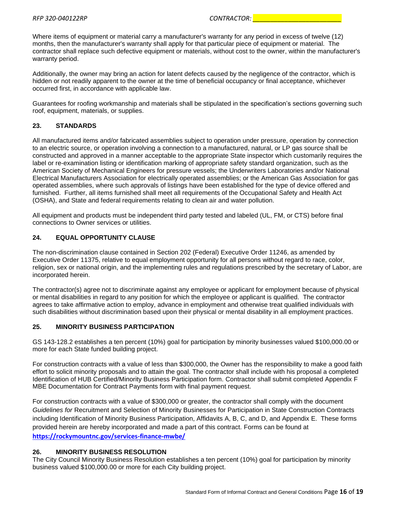Where items of equipment or material carry a manufacturer's warranty for any period in excess of twelve (12) months, then the manufacturer's warranty shall apply for that particular piece of equipment or material. The contractor shall replace such defective equipment or materials, without cost to the owner, within the manufacturer's warranty period.

Additionally, the owner may bring an action for latent defects caused by the negligence of the contractor, which is hidden or not readily apparent to the owner at the time of beneficial occupancy or final acceptance, whichever occurred first, in accordance with applicable law.

Guarantees for roofing workmanship and materials shall be stipulated in the specification's sections governing such roof, equipment, materials, or supplies.

#### **23. STANDARDS**

All manufactured items and/or fabricated assemblies subject to operation under pressure, operation by connection to an electric source, or operation involving a connection to a manufactured, natural, or LP gas source shall be constructed and approved in a manner acceptable to the appropriate State inspector which customarily requires the label or re-examination listing or identification marking of appropriate safety standard organization, such as the American Society of Mechanical Engineers for pressure vessels; the Underwriters Laboratories and/or National Electrical Manufacturers Association for electrically operated assemblies; or the American Gas Association for gas operated assemblies, where such approvals of listings have been established for the type of device offered and furnished. Further, all items furnished shall meet all requirements of the Occupational Safety and Health Act (OSHA), and State and federal requirements relating to clean air and water pollution.

All equipment and products must be independent third party tested and labeled (UL, FM, or CTS) before final connections to Owner services or utilities.

#### **24. EQUAL OPPORTUNITY CLAUSE**

The non-discrimination clause contained in Section 202 (Federal) Executive Order 11246, as amended by Executive Order 11375, relative to equal employment opportunity for all persons without regard to race, color, religion, sex or national origin, and the implementing rules and regulations prescribed by the secretary of Labor, are incorporated herein.

The contractor(s) agree not to discriminate against any employee or applicant for employment because of physical or mental disabilities in regard to any position for which the employee or applicant is qualified. The contractor agrees to take affirmative action to employ, advance in employment and otherwise treat qualified individuals with such disabilities without discrimination based upon their physical or mental disability in all employment practices.

#### **25. MINORITY BUSINESS PARTICIPATION**

GS 143-128.2 establishes a ten percent (10%) goal for participation by minority businesses valued \$100,000.00 or more for each State funded building project.

For construction contracts with a value of less than \$300,000, the Owner has the responsibility to make a good faith effort to solicit minority proposals and to attain the goal. The contractor shall include with his proposal a completed Identification of HUB Certified/Minority Business Participation form. Contractor shall submit completed Appendix F MBE Documentation for Contract Payments form with final payment request.

For construction contracts with a value of \$300,000 or greater, the contractor shall comply with the document *Guidelines for* Recruitment and Selection of Minority Businesses for Participation in State Construction Contracts including Identification of Minority Business Participation, Affidavits A, B, C, and D, and Appendix E. These forms provided herein are hereby incorporated and made a part of this contract. Forms can be found at **<https://rockymountnc.gov/services-finance-mwbe/>**

#### **26. MINORITY BUSINESS RESOLUTION**

The City Council Minority Business Resolution establishes a ten percent (10%) goal for participation by minority business valued \$100,000.00 or more for each City building project.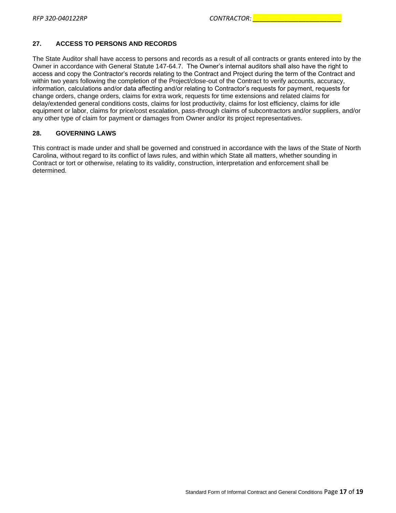#### **27. ACCESS TO PERSONS AND RECORDS**

The State Auditor shall have access to persons and records as a result of all contracts or grants entered into by the Owner in accordance with General Statute 147-64.7. The Owner's internal auditors shall also have the right to access and copy the Contractor's records relating to the Contract and Project during the term of the Contract and within two years following the completion of the Project/close-out of the Contract to verify accounts, accuracy, information, calculations and/or data affecting and/or relating to Contractor's requests for payment, requests for change orders, change orders, claims for extra work, requests for time extensions and related claims for delay/extended general conditions costs, claims for lost productivity, claims for lost efficiency, claims for idle equipment or labor, claims for price/cost escalation, pass-through claims of subcontractors and/or suppliers, and/or any other type of claim for payment or damages from Owner and/or its project representatives.

#### **28. GOVERNING LAWS**

This contract is made under and shall be governed and construed in accordance with the laws of the State of North Carolina, without regard to its conflict of laws rules, and within which State all matters, whether sounding in Contract or tort or otherwise, relating to its validity, construction, interpretation and enforcement shall be determined.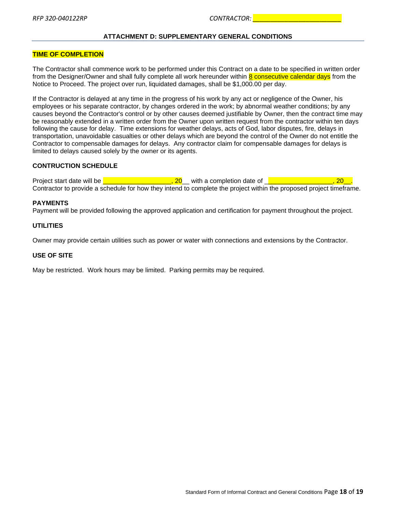#### **ATTACHMENT D: SUPPLEMENTARY GENERAL CONDITIONS**

#### <span id="page-17-0"></span>**TIME OF COMPLETION**

The Contractor shall commence work to be performed under this Contract on a date to be specified in written order from the Designer/Owner and shall fully complete all work hereunder within 8 consecutive calendar days from the Notice to Proceed. The project over run, liquidated damages, shall be \$1,000.00 per day.

If the Contractor is delayed at any time in the progress of his work by any act or negligence of the Owner, his employees or his separate contractor, by changes ordered in the work; by abnormal weather conditions; by any causes beyond the Contractor's control or by other causes deemed justifiable by Owner, then the contract time may be reasonably extended in a written order from the Owner upon written request from the contractor within ten days following the cause for delay. Time extensions for weather delays, acts of God, labor disputes, fire, delays in transportation, unavoidable casualties or other delays which are beyond the control of the Owner do not entitle the Contractor to compensable damages for delays. Any contractor claim for compensable damages for delays is limited to delays caused solely by the owner or its agents.

#### **CONTRUCTION SCHEDULE**

Project start date will be <u>Deck London, 20, 20, and the completion</u> date of <u>Deck London, 20, 20, 20</u> Contractor to provide a schedule for how they intend to complete the project within the proposed project timeframe.

#### **PAYMENTS**

Payment will be provided following the approved application and certification for payment throughout the project.

#### **UTILITIES**

Owner may provide certain utilities such as power or water with connections and extensions by the Contractor.

#### **USE OF SITE**

May be restricted. Work hours may be limited. Parking permits may be required.